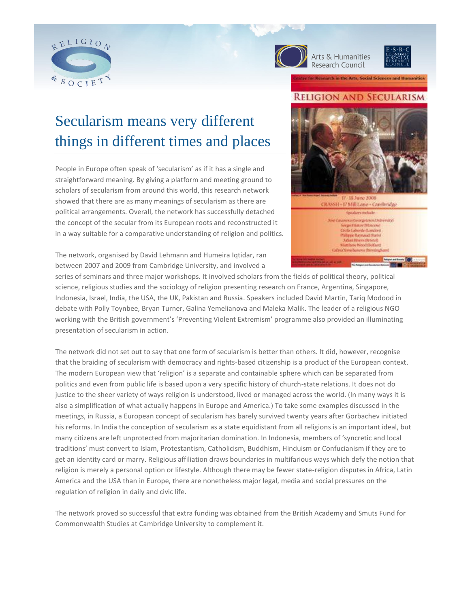





# Secularism means very different things in different times and places

People in Europe often speak of 'secularism' as if it has a single and straightforward meaning. By giving a platform and meeting ground to scholars of secularism from around this world, this research network showed that there are as many meanings of secularism as there are political arrangements. Overall, the network has successfully detached the concept of the secular from its European roots and reconstructed it in a way suitable for a comparative understanding of religion and politics. **RELIGION AND SECULARISM** CRASSH - 17 Mill Lane - Cambridge sposkers melade ances (Georgetown Distremacy) **Filatov Moscow** 

or Research in the Arts, Social Sciences and Humanities

The network, organised by David Lehmann and Humeira Iqtidar, ran between 2007 and 2009 from Cambridge University, and involved a

series of seminars and three major workshops. It involved scholars from the fields of political theory, political science, religious studies and the sociology of religion presenting research on France, Argentina, Singapore, Indonesia, Israel, India, the USA, the UK, Pakistan and Russia. Speakers included David Martin, Tariq Modood in debate with Polly Toynbee, Bryan Turner, Galina Yemelianova and Maleka Malik. The leader of a religious NGO working with the British government's 'Preventing Violent Extremism' programme also provided an illuminating presentation of secularism in action.

The network did not set out to say that one form of secularism is better than others. It did, however, recognise that the braiding of secularism with democracy and rights-based citizenship is a product of the European context. The modern European view that 'religion' is a separate and containable sphere which can be separated from politics and even from public life is based upon a very specific history of church-state relations. It does not do justice to the sheer variety of ways religion is understood, lived or managed across the world. (In many ways it is also a simplification of what actually happens in Europe and America.) To take some examples discussed in the meetings, in Russia, a European concept of secularism has barely survived twenty years after Gorbachev initiated his reforms. In India the conception of secularism as a state equidistant from all religions is an important ideal, but many citizens are left unprotected from majoritarian domination. In Indonesia, members of 'syncretic and local traditions' must convert to Islam, Protestantism, Catholicism, Buddhism, Hinduism or Confucianism if they are to get an identity card or marry. Religious affiliation draws boundaries in multifarious ways which defy the notion that religion is merely a personal option or lifestyle. Although there may be fewer state-religion disputes in Africa, Latin America and the USA than in Europe, there are nonetheless major legal, media and social pressures on the regulation of religion in daily and civic life.

The network proved so successful that extra funding was obtained from the British Academy and Smuts Fund for Commonwealth Studies at Cambridge University to complement it.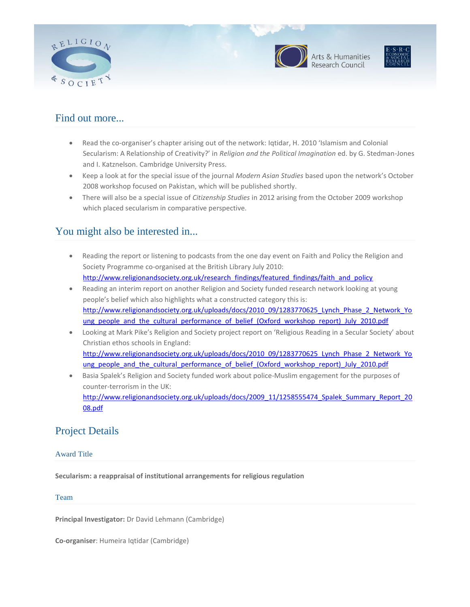





## Find out more...

- Read the co-organiser's chapter arising out of the network: Iqtidar, H. 2010 'Islamism and Colonial Secularism: A Relationship of Creativity?' in *Religion and the Political Imagination* ed. by G. Stedman-Jones and I. Katznelson. Cambridge University Press.
- Keep a look at for the special issue of the journal *Modern Asian Studies* based upon the network's October 2008 workshop focused on Pakistan, which will be published shortly.
- There will also be a special issue of *Citizenship Studies* in 2012 arising from the October 2009 workshop which placed secularism in comparative perspective.

# You might also be interested in...

- Reading the report or listening to podcasts from the one day event on Faith and Policy the Religion and Society Programme co-organised at the British Library July 2010: [http://www.religionandsociety.org.uk/research\\_findings/featured\\_findings/faith\\_and\\_policy](http://www.religionandsociety.org.uk/research_findings/featured_findings/faith_and_policy)
- Reading an interim report on another Religion and Society funded research network looking at young people's belief which also highlights what a constructed category this is: [http://www.religionandsociety.org.uk/uploads/docs/2010\\_09/1283770625\\_Lynch\\_Phase\\_2\\_Network\\_Yo](http://www.religionandsociety.org.uk/uploads/docs/2010_09/1283770625_Lynch_Phase_2_Network_Young_people_and_the_cultural_performance_of_belief_(Oxford_workshop_report)_July_2010.pdf) [ung\\_people\\_and\\_the\\_cultural\\_performance\\_of\\_belief\\_\(Oxford\\_workshop\\_report\)\\_July\\_2010.pdf](http://www.religionandsociety.org.uk/uploads/docs/2010_09/1283770625_Lynch_Phase_2_Network_Young_people_and_the_cultural_performance_of_belief_(Oxford_workshop_report)_July_2010.pdf)
- Looking at Mark Pike's Religion and Society project report on 'Religious Reading in a Secular Society' about Christian ethos schools in England: [http://www.religionandsociety.org.uk/uploads/docs/2010\\_09/1283770625\\_Lynch\\_Phase\\_2\\_Network\\_Yo](http://www.religionandsociety.org.uk/uploads/docs/2010_09/1283770625_Lynch_Phase_2_Network_Young_people_and_the_cultural_performance_of_belief_(Oxford_workshop_report)_July_2010.pdf) [ung\\_people\\_and\\_the\\_cultural\\_performance\\_of\\_belief\\_\(Oxford\\_workshop\\_report\)\\_July\\_2010.pdf](http://www.religionandsociety.org.uk/uploads/docs/2010_09/1283770625_Lynch_Phase_2_Network_Young_people_and_the_cultural_performance_of_belief_(Oxford_workshop_report)_July_2010.pdf)
- Basia Spalek's Religion and Society funded work about police-Muslim engagement for the purposes of counter-terrorism in the UK: [http://www.religionandsociety.org.uk/uploads/docs/2009\\_11/1258555474\\_Spalek\\_Summary\\_Report\\_20](http://www.religionandsociety.org.uk/uploads/docs/2009_11/1258555474_Spalek_Summary_Report_2008.pdf) [08.pdf](http://www.religionandsociety.org.uk/uploads/docs/2009_11/1258555474_Spalek_Summary_Report_2008.pdf)

## Project Details

## Award Title

**Secularism: a reappraisal of institutional arrangements for religious regulation**

Team

**Principal Investigator:** Dr David Lehmann (Cambridge)

**Co-organiser**: Humeira Iqtidar (Cambridge)